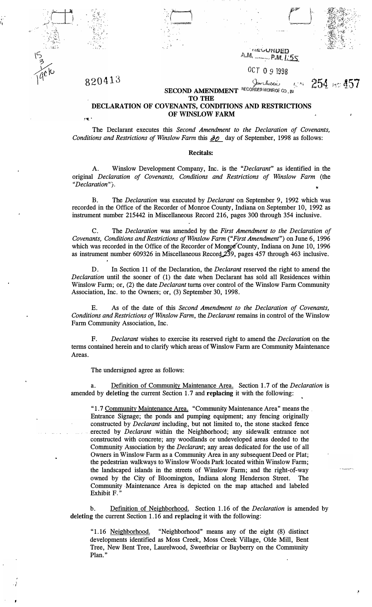

•• *I:}:*  • .. :.;.L,.\_:,,

.,

#### retatioed  $A, M$  $-P.M.L.55$ OCT O 9 1998

# 8 2 0 4 1 3<br>SECOND AMENDMENT <sup>RECORDER MONROE CO</sup>, IN **254** For  $457$ **TO THE**

#### **DECLARATION OF COVENANTS, CONDITIONS AND RESTRICTIONS OF WINSLOW FARM**   $1.12$

The Declarant executes this *Second Amendment to the Declaration of Covenants, Conditions and Restrictions of Winslow Farm this*  $\partial$ *O* day of September, 1998 as follows:

#### **Recitals:**

A. Winslow Development Company, Inc. is the *"Declarant"* as identified in the original *Declaration of Covenants, Conditions and Restrictions of Winslow Farm* (the "Declaration").

B. The *Declaration* was executed by *Declarant* on September 9, 1992 which was recorded in the Office of the Recorder of Monroe County, Indiana on September 10, 1992 as instrument number 215442 in Miscellaneous Record 216, pages 300 through 354 inclusive.

C. The *Declaration* was amended by the *First Amendment to the Declaration of Covenants, Conditions and Restrictions of Winslow Farm ("First Amendment")* on June 6, 1996 which was recorded in the Office of the Recorder of Monroe County, Indiana on June 10, 1996 as instrument number 609326 in Miscellaneous Record  $2\overline{3}9$ , pages 457 through 463 inclusive.

D. In Section 11 of the Declaration, the *Declarant* reserved the right to amend the *Declaration* until the sooner of (1) the date when Declarant has sold all Residences within Winslow Farm; or, (2) the date *Declarant* turns over control of the Winslow Farm Community Association, Inc. to the Owners; or, (3) September 30, 1998.

E. As of the date of this *Second Amendment to the Declaration of Covenants, Conditions and Restrictions of Winslow Farm,* the *Declarant* remains in control of the Winslow Farm Community Association, Inc.

F. *Declarant* wishes to exercise its reserved right to amend the *Declaration* on the terms contained herein and to clarify which areas of Winslow Farm are Community Maintenance Areas.

The undersigned agree as follows:

a. Definition of Community Maintenance Area. Section 1. 7 of the *Declaration* is amended by deleting the current Section 1.7 and **replacing** it with the following:

"1.7 Community Maintenance Area. "Community Maintenance Area" means the Entrance Signage; the ponds and pumping equipment; any fencing originally constructed by *Declarant* including, but not limited to, the stone stacked fence erected by *Declarant* within the Neighborhood; any sidewalk entrance not constructed with concrete; any woodlands or undeveloped areas deeded to the Community Association by the *Declarant;* any areas dedicated for the use of all Owners in Winslow Farm as a Community Area in any subsequent Deed or Plat; the pedestrian walkways to Winslow Woods Park located within Winslow Farm; the landscaped islands in the streets of Winslow Farm; and the right-of-way owned by the City of- Bloomington, Indiana along Henderson Street. The Community Maintenance Area is depicted on the map attached and labeled Exhibit F."

b. Definition of Neighborhood. Section 1.16 of the *Declaration* is amended by deleting the current Section 1.16 and replacing it with the following:

"1.16 Neighborhood. "Neighborhood" means any of the eight (8) distinct developments identified as Moss Creek, Moss Creek Village, Olde Mill, Bent Tree, New Bent Tree, Laurelwood, Sweetbriar or Bayberry on the Community Plan."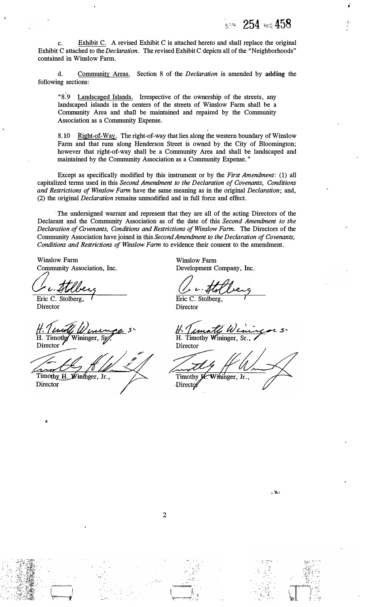;.

c. Exhibit C. A revised Exhibit C is attached hereto and shall replace the original Exhibit C attached to the *Declaration.* The revised Exhibit C depicts all of the "Neighborhoods" contained in Winslow Farm.

d. Commu*n*ity Areas. Section 8 of the *Declaration* is amended by **adding** the following sectio*n*s:

"8.9 Landscaped Islands. Irrespective of the ownership of the streets, any landscaped islands in the centers of the streets of Winslow Farm shall be a Community· Area and shall be maintained and repaired by the Community Association as a Commu*n*ity Expe*n*se.

8.10 Right-of-Way. The right-of-way that lies along the western boundary of Winslow Farm and that runs along Henderson Street is owned by the City of Bloomington; however that right-of-way shall be a Community Area and shall be landscaped and maintained by the Community Association as a Community Expense."

Except as specifically modified by this instrument or by the *First Amendment:* (1) all capitalized terms used in this *Second Amendment to the Declaration of Covenants, Conditions and Restrictions of Winslow Farm* have the same meaning as in the original *Declaration;* and, (2) the original *Declaration* remains u*n*modified and in full force and effect.

The undersigned warrant and represent that they are all of the acting Directors of the Declarant and the Community Association as of the date of this *Second Amendment to the Declaration of Covenants, Conditions and Restrictions of Winslow Farm.* The Directors of the Commu*n*ity Association have joined in this *Second Amendment to the Declaration of Covenants, Conditions and Restrictions of Winslow Farm* to evidence their consent to the amendment.

Winslow Farm Commu*n*ity Association, Inc.

*a,,\_�*  Eric C. Stolberg

Director

H. Timothy Wininger, Sp Director

Timothy H. Wininger, Jr.,

Director

Winslow Farm Development Company, Inc.

Eric C. Stolberg Director

H. Timothy Wininger, Sr

Director Timothy Wininger, Jr., Director



 $\mathbb{C}^*$  . **... .. � ..** 

> . .. , .. ,·  $\sim$  ... :  $\sim$

 $-24i$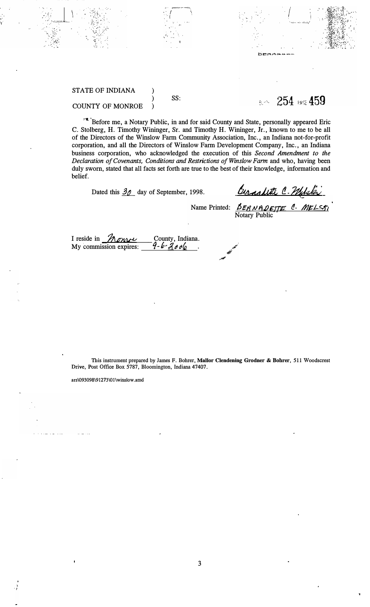### STATE OF INDIANA

*·:.: ..* ·

.. ,.  $\mathbf{I}^{\mathcal{L}}$ 

'/

## SS:

.. *f*  • I

**) ) )** 

**8.4 254 BSS** 

*I* 

### COUNTY OF MONROE

1'\* 'Before me, a Notary Public, in and for said County and State, personally appeared Eric C. Stolberg, H. Timothy Wininger, Sr. and Timothy H. Wininger, Jr., known to me to be all of the Directors of the Winslow Farm Community Association, Inc., an Indiana not-for-profit corporation, and all the Directors of Winslow Farm Development Company, Inc., an Indiana business corporation, who acknowledged the execution of this *Second Amendment to the Declaration of Covenants, Conditions and Restrictions of Winslow Farm* and who, having been duly sworn, stated that all facts set forth are true to the best of their knowledge, information and belief.

Dated this <u>30</u> day of September, 1998. *birnalitte C. Philales* 

Name Printed: *BERNADETTE C. MELSTI* Notary Public

I reside in *home* My commission expires: County, Indiana. *1-6,,gtJel-0* 

**This instrument prepared by Jaines F. Bohrer, Mallor Clendening Grodner & Bohrer, 511 Woodscrest Drive, Post Office Box 5787, Bloomington, Indiana 47407.** 

ars\093098\91273\01 \ winslow .amd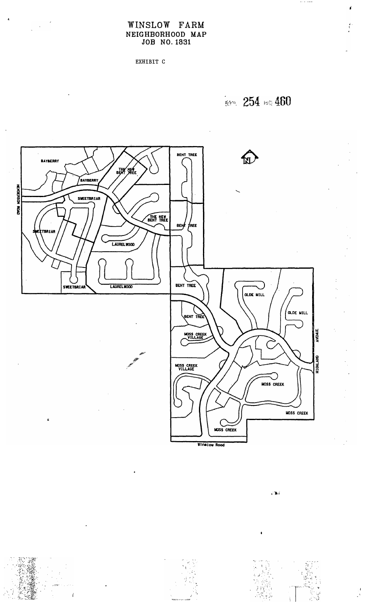# WINSLOW FARM NEIGHBORHOOD MAP<br>JOB NO. 1831

EXHIBIT C

**Bdow** 254 est 460



 $\mathcal{L}^{\text{in}}$